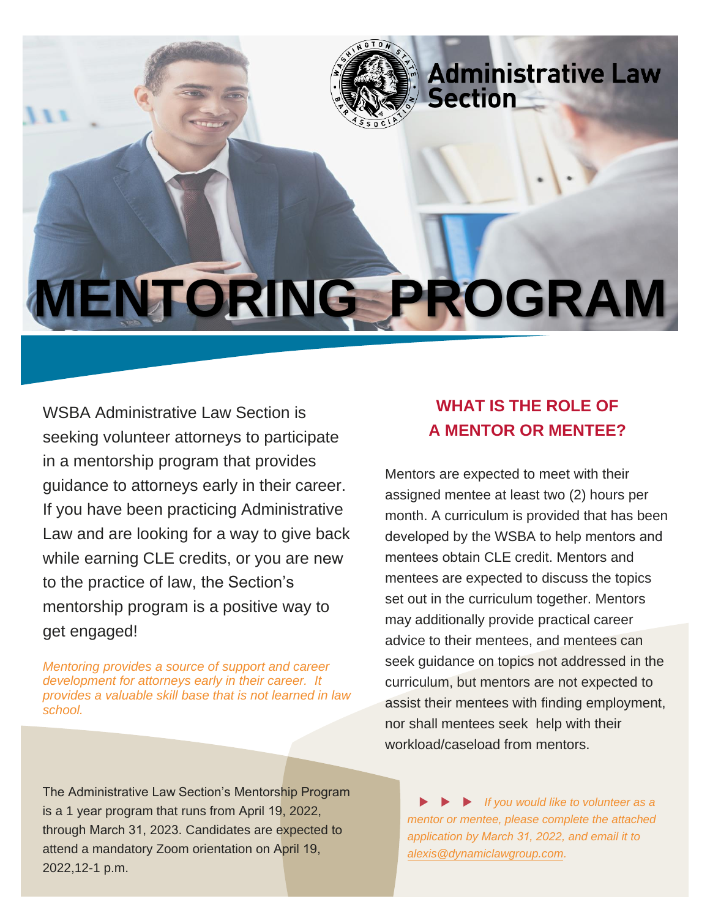

WSBA Administrative Law Section is seeking volunteer attorneys to participate in a mentorship program that provides guidance to attorneys early in their career. If you have been practicing Administrative Law and are looking for a way to give back while earning CLE credits, or you are new to the practice of law, the Section's mentorship program is a positive way to get engaged!

*Mentoring provides a source of support and career development for attorneys early in their career. It provides a valuable skill base that is not learned in law school.* 

## **WHAT IS THE ROLE OF A MENTOR OR MENTEE?**

Mentors are expected to meet with their assigned mentee at least two (2) hours per month. A curriculum is provided that has been developed by the WSBA to help mentors and mentees obtain CLE credit. Mentors and mentees are expected to discuss the topics set out in the curriculum together. Mentors may additionally provide practical career advice to their mentees, and mentees can seek guidance on topics not addressed in the curriculum, but mentors are not expected to assist their mentees with finding employment, nor shall mentees seek help with their workload/caseload from mentors.

The Administrative Law Section's Mentorship Program is a 1 year program that runs from April 19, 2022, through March 31, 2023. Candidates are expected to attend a mandatory Zoom orientation on April 19, 2022,12-1 p.m.

 *If you would like to volunteer as a mentor or mentee, please complete the attached application by March 31, 2022, and email it to [alexis@dynamiclawgroup.com](mailto:alexis@dynamiclawgroup.com).*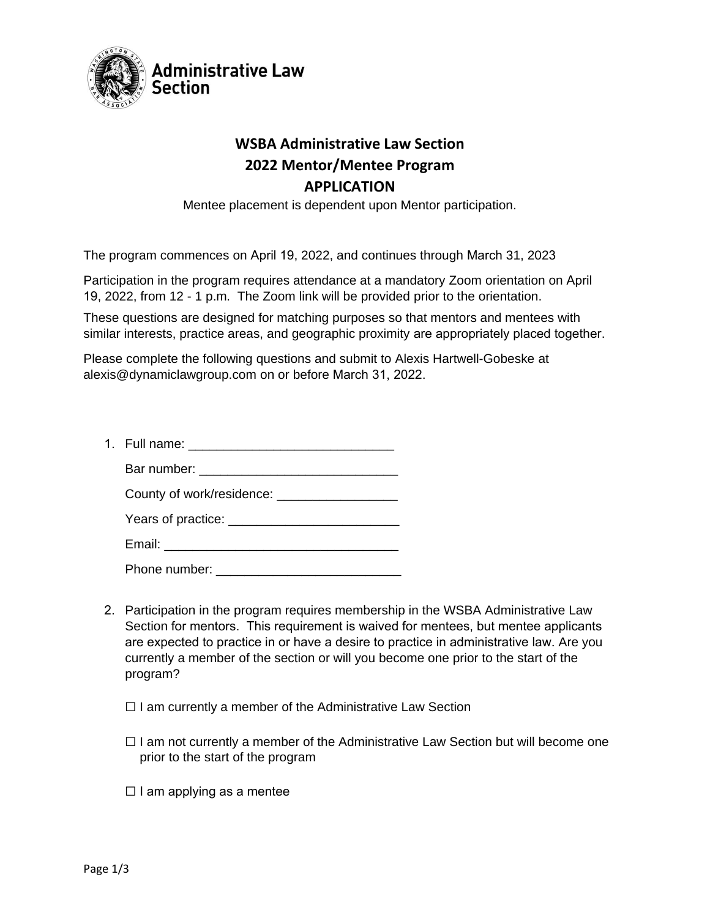

## **WSBA Administrative Law Section 2022 Mentor/Mentee Program APPLICATION**

Mentee placement is dependent upon Mentor participation.

The program commences on April 19, 2022, and continues through March 31, 2023

Participation in the program requires attendance at a mandatory Zoom orientation on April 19, 2022, from 12 - 1 p.m. The Zoom link will be provided prior to the orientation.

These questions are designed for matching purposes so that mentors and mentees with similar interests, practice areas, and geographic proximity are appropriately placed together.

Please complete the following questions and submit to Alexis Hartwell-Gobeske at alexis@dynamiclawgroup.com on or before March 31, 2022.

| 1. Full name: |  |
|---------------|--|
| Bar number:   |  |

| County of work/residence: |  |
|---------------------------|--|
| Years of practice:        |  |
| Email:                    |  |

Phone number: \_\_\_\_\_\_\_\_\_\_\_\_\_\_\_\_\_\_\_\_\_\_\_\_\_\_

- 2. Participation in the program requires membership in the WSBA Administrative Law Section for mentors. This requirement is waived for mentees, but mentee applicants are expected to practice in or have a desire to practice in administrative law. Are you currently a member of the section or will you become one prior to the start of the program?
	- □ I am currently a member of the Administrative Law Section
	- $\Box$  I am not currently a member of the Administrative Law Section but will become one prior to the start of the program
	- $\Box$  I am applying as a mentee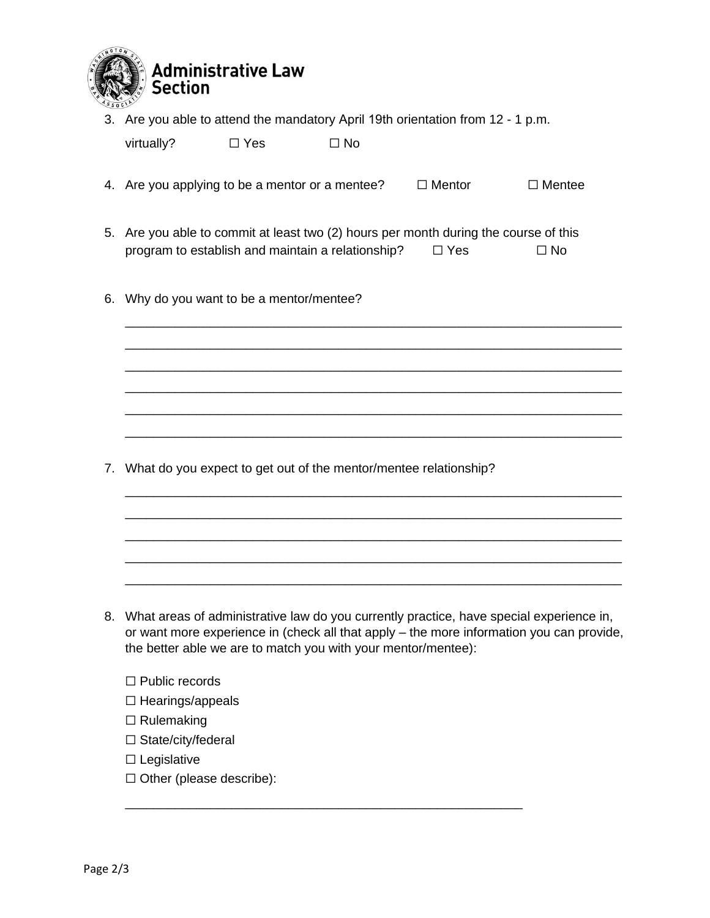

3. Are you able to attend the mandatory April 19th orientation from 12 - 1 p.m.

| virtually? | $\Box$ Yes | $\Box$ No |
|------------|------------|-----------|
|            |            |           |

- 4. Are you applying to be a mentor or a mentee?  $□$  Mentor  $□$  Mentee
- 5. Are you able to commit at least two (2) hours per month during the course of this program to establish and maintain a relationship?  $□$  Yes  $□$  No

\_\_\_\_\_\_\_\_\_\_\_\_\_\_\_\_\_\_\_\_\_\_\_\_\_\_\_\_\_\_\_\_\_\_\_\_\_\_\_\_\_\_\_\_\_\_\_\_\_\_\_\_\_\_\_\_\_\_\_\_\_\_\_\_\_\_\_\_\_\_ \_\_\_\_\_\_\_\_\_\_\_\_\_\_\_\_\_\_\_\_\_\_\_\_\_\_\_\_\_\_\_\_\_\_\_\_\_\_\_\_\_\_\_\_\_\_\_\_\_\_\_\_\_\_\_\_\_\_\_\_\_\_\_\_\_\_\_\_\_\_ \_\_\_\_\_\_\_\_\_\_\_\_\_\_\_\_\_\_\_\_\_\_\_\_\_\_\_\_\_\_\_\_\_\_\_\_\_\_\_\_\_\_\_\_\_\_\_\_\_\_\_\_\_\_\_\_\_\_\_\_\_\_\_\_\_\_\_\_\_\_ \_\_\_\_\_\_\_\_\_\_\_\_\_\_\_\_\_\_\_\_\_\_\_\_\_\_\_\_\_\_\_\_\_\_\_\_\_\_\_\_\_\_\_\_\_\_\_\_\_\_\_\_\_\_\_\_\_\_\_\_\_\_\_\_\_\_\_\_\_\_ \_\_\_\_\_\_\_\_\_\_\_\_\_\_\_\_\_\_\_\_\_\_\_\_\_\_\_\_\_\_\_\_\_\_\_\_\_\_\_\_\_\_\_\_\_\_\_\_\_\_\_\_\_\_\_\_\_\_\_\_\_\_\_\_\_\_\_\_\_\_ \_\_\_\_\_\_\_\_\_\_\_\_\_\_\_\_\_\_\_\_\_\_\_\_\_\_\_\_\_\_\_\_\_\_\_\_\_\_\_\_\_\_\_\_\_\_\_\_\_\_\_\_\_\_\_\_\_\_\_\_\_\_\_\_\_\_\_\_\_\_

\_\_\_\_\_\_\_\_\_\_\_\_\_\_\_\_\_\_\_\_\_\_\_\_\_\_\_\_\_\_\_\_\_\_\_\_\_\_\_\_\_\_\_\_\_\_\_\_\_\_\_\_\_\_\_\_\_\_\_\_\_\_\_\_\_\_\_\_\_\_ \_\_\_\_\_\_\_\_\_\_\_\_\_\_\_\_\_\_\_\_\_\_\_\_\_\_\_\_\_\_\_\_\_\_\_\_\_\_\_\_\_\_\_\_\_\_\_\_\_\_\_\_\_\_\_\_\_\_\_\_\_\_\_\_\_\_\_\_\_\_ \_\_\_\_\_\_\_\_\_\_\_\_\_\_\_\_\_\_\_\_\_\_\_\_\_\_\_\_\_\_\_\_\_\_\_\_\_\_\_\_\_\_\_\_\_\_\_\_\_\_\_\_\_\_\_\_\_\_\_\_\_\_\_\_\_\_\_\_\_\_ \_\_\_\_\_\_\_\_\_\_\_\_\_\_\_\_\_\_\_\_\_\_\_\_\_\_\_\_\_\_\_\_\_\_\_\_\_\_\_\_\_\_\_\_\_\_\_\_\_\_\_\_\_\_\_\_\_\_\_\_\_\_\_\_\_\_\_\_\_\_ \_\_\_\_\_\_\_\_\_\_\_\_\_\_\_\_\_\_\_\_\_\_\_\_\_\_\_\_\_\_\_\_\_\_\_\_\_\_\_\_\_\_\_\_\_\_\_\_\_\_\_\_\_\_\_\_\_\_\_\_\_\_\_\_\_\_\_\_\_\_

6. Why do you want to be a mentor/mentee?

7. What do you expect to get out of the mentor/mentee relationship?

8. What areas of administrative law do you currently practice, have special experience in, or want more experience in (check all that apply – the more information you can provide, the better able we are to match you with your mentor/mentee):

\_\_\_\_\_\_\_\_\_\_\_\_\_\_\_\_\_\_\_\_\_\_\_\_\_\_\_\_\_\_\_\_\_\_\_\_\_\_\_\_\_\_\_\_\_\_\_\_\_\_\_\_\_\_\_\_

- ☐ Public records
- ☐ Hearings/appeals
- ☐ Rulemaking
- □ State/city/federal
- $\square$  Legislative
- ☐ Other (please describe):